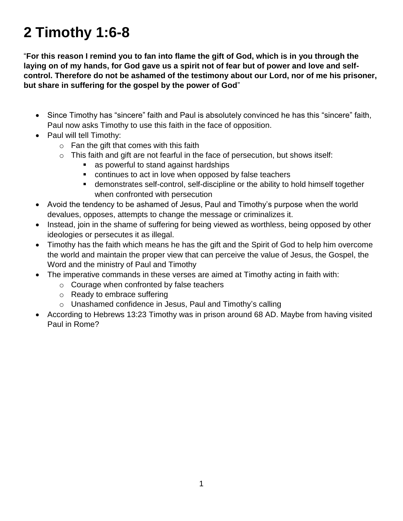## **2 Timothy 1:6-8**

"**For this reason I remind you to fan into flame the gift of God, which is in you through the laying on of my hands, for God gave us a spirit not of fear but of power and love and selfcontrol. Therefore do not be ashamed of the testimony about our Lord, nor of me his prisoner, but share in suffering for the gospel by the power of God**"

- Since Timothy has "sincere" faith and Paul is absolutely convinced he has this "sincere" faith, Paul now asks Timothy to use this faith in the face of opposition.
- Paul will tell Timothy:
	- $\circ$  Fan the gift that comes with this faith
	- $\circ$  This faith and gift are not fearful in the face of persecution, but shows itself:
		- **a** as powerful to stand against hardships
		- continues to act in love when opposed by false teachers
		- demonstrates self-control, self-discipline or the ability to hold himself together when confronted with persecution
- Avoid the tendency to be ashamed of Jesus, Paul and Timothy's purpose when the world devalues, opposes, attempts to change the message or criminalizes it.
- Instead, join in the shame of suffering for being viewed as worthless, being opposed by other ideologies or persecutes it as illegal.
- Timothy has the faith which means he has the gift and the Spirit of God to help him overcome the world and maintain the proper view that can perceive the value of Jesus, the Gospel, the Word and the ministry of Paul and Timothy
- The imperative commands in these verses are aimed at Timothy acting in faith with:
	- o Courage when confronted by false teachers
	- o Ready to embrace suffering
	- o Unashamed confidence in Jesus, Paul and Timothy's calling
- According to Hebrews 13:23 Timothy was in prison around 68 AD. Maybe from having visited Paul in Rome?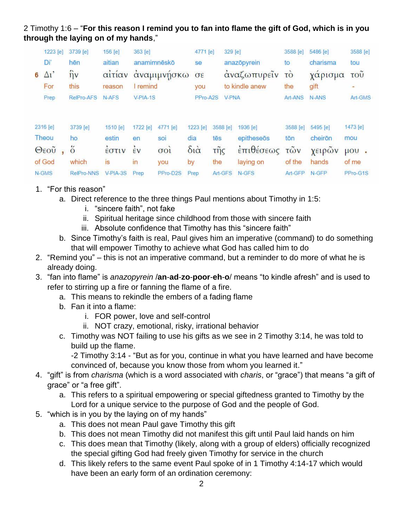2 Timothy 1:6 – "**For this reason I remind you to fan into flame the gift of God, which is in you through the laying on of my hands**,"

| 1223 [e]        |              |                              | 3739 [e]          | 156 [e]    | 363 [e]            |             | 4771 [e]               |                         | 329 [e]        | 3588 [e]            | 5486 [e]     | 3588 [e]   |  |
|-----------------|--------------|------------------------------|-------------------|------------|--------------------|-------------|------------------------|-------------------------|----------------|---------------------|--------------|------------|--|
|                 | Di'          | aitian<br>anamimnēskō<br>hēn |                   |            | se                 |             | anazōpyrein            | to                      | charisma       | tou                 |              |            |  |
| $6\overline{6}$ | $\Delta i'$  |                              | $\hat{\eta}$ v    | αίτίαν     |                    | αναμιμνησκω | $\sigma \epsilon$      |                         | αναζωπυρείν    | $\sim$<br><b>TO</b> | χαρισμα      | <b>TOU</b> |  |
|                 | For          |                              | this              | reason     | remind             |             | you                    |                         | to kindle anew | the                 | gift         | ÷          |  |
|                 | Prep         |                              | RelPro-AFS        | N-AFS      | $V-PIA-1S$         |             | PPro-A2S               |                         | <b>V-PNA</b>   | Art-ANS             | <b>N-ANS</b> | Art-GMS    |  |
|                 |              |                              |                   |            |                    |             |                        |                         |                |                     |              |            |  |
|                 | 2316 [e]     |                              | 3739 [e]          | 1510 [e]   | 1722 [e]           | 4771 [e]    | 1223 [e]               | 3588 [e]                | 1936 [e]       | 3588 [e]            | 5495 [e]     | 1473 [e]   |  |
|                 | Theou        |                              | ho                | estin      | en                 | soi         | dia                    | tēs                     | epitheseōs     | tōn                 | cheirōn      | mou        |  |
|                 | $\Theta$ εοῦ |                              | ő                 | EOTIV      | $\dot{\epsilon}$ v | 001         | $\delta i\dot{\alpha}$ | $\tilde{\mathsf{trig}}$ | έπιθέσεως      | $\tilde{\tau}$ ων   | χειρών       | $\mu$ ov   |  |
| of God          |              |                              | which             | is         | In                 | you         | by                     | the                     | laying on      | of the              | hands        | of me      |  |
| N-GMS           |              |                              | <b>RelPro-NNS</b> | $V-PIA-3S$ | Prep               | PPro-D2S    | Prep                   | Art-GFS                 | $N$ -GFS       | Art-GFP             | N-GFP        | PPro-G1S   |  |

- 1. "For this reason"
	- a. Direct reference to the three things Paul mentions about Timothy in 1:5:
		- i. "sincere faith", not fake
		- ii. Spiritual heritage since childhood from those with sincere faith
		- iii. Absolute confidence that Timothy has this "sincere faith"
	- b. Since Timothy's faith is real, Paul gives him an imperative (command) to do something that will empower Timothy to achieve what God has called him to do
- 2. "Remind you" this is not an imperative command, but a reminder to do more of what he is already doing.
- 3. "fan into flame" is *anazopyrein* /**an**-**ad**-**zo**-**poor**-**eh**-**o**/ means "to kindle afresh" and is used to refer to stirring up a fire or fanning the flame of a fire.
	- a. This means to rekindle the embers of a fading flame
	- b. Fan it into a flame:
		- i. FOR power, love and self-control
		- ii. NOT crazy, emotional, risky, irrational behavior
	- c. Timothy was NOT failing to use his gifts as we see in 2 Timothy 3:14, he was told to build up the flame.

-2 Timothy 3:14 - "But as for you, continue in what you have learned and have become convinced of, because you know those from whom you learned it."

- 4. "gift" is from *charisma* (which is a word associated with *charis*, or "grace") that means "a gift of grace" or "a free gift".
	- a. This refers to a spiritual empowering or special giftedness granted to Timothy by the Lord for a unique service to the purpose of God and the people of God.
- 5. "which is in you by the laying on of my hands"
	- a. This does not mean Paul gave Timothy this gift
	- b. This does not mean Timothy did not manifest this gift until Paul laid hands on him
	- c. This does mean that Timothy (likely, along with a group of elders) officially recognized the special gifting God had freely given Timothy for service in the church
	- d. This likely refers to the same event Paul spoke of in 1 Timothy 4:14-17 which would have been an early form of an ordination ceremony: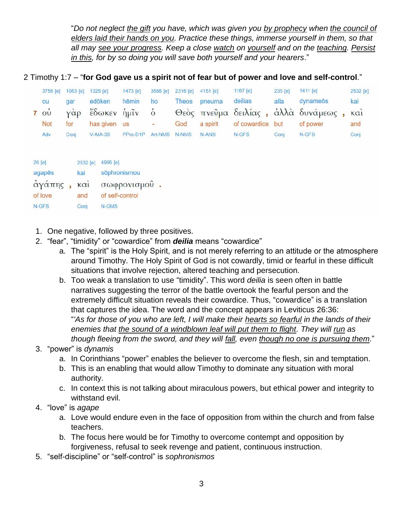"*Do not neglect the gift you have, which was given you by prophecy when the council of elders laid their hands on you. Practice these things, immerse yourself in them, so that all may see your progress. Keep a close watch on yourself and on the teaching. Persist in this, for by so doing you will save both yourself and your hearers*."

2 Timothy 1:7 – "**for God gave us a spirit not of fear but of power and love and self-control**."

| 3756 [e]       | 1063 [e] | 1325 [e]    | 1473 [e]  | 3588 [e]          | 2316 [e]     | 4151 [e] | 1167 [e]         | 235 [e] | 1411 [e]                                | 2532 [e] |
|----------------|----------|-------------|-----------|-------------------|--------------|----------|------------------|---------|-----------------------------------------|----------|
| ou             | dar      | edōken      | hēmin     | ho                | <b>Theos</b> | pneuma   | deilias          | alla    | dynameös                                | kai      |
| $\vec{\omega}$ | γάρ      | έδωκεν ήμιν |           | $\ddot{\text{o}}$ |              |          |                  |         | Θεός πνεύμα δειλίας, άλλά δυνάμεως, και |          |
| <b>Not</b>     | for      | has given   | <b>US</b> | S.                | God          | a spirit | of cowardice but |         | of power                                | and      |
| Adv            | Conj     | $V-AIA-3S$  | PPro-D1P  | Art-NMS           | <b>N-NMS</b> | N-ANS    | N-GFS            | Coni    | N-GFS                                   | Conj     |
|                |          |             |           |                   |              |          |                  |         |                                         |          |

| 26 [e]  | 2532 [e]    | 4995 [e]        |
|---------|-------------|-----------------|
| agapēs  | kai         | sõphronismou    |
| άγάπης, | $k\alpha i$ | σωφρονισμού     |
| of love | and         | of self-control |
| N-GFS   | Conj        | N-GMS           |

- 1. One negative, followed by three positives.
- 2. "fear", "timidity" or "cowardice" from *deilia* means "cowardice"
	- a. The "spirit" is the Holy Spirit, and is not merely referring to an attitude or the atmosphere around Timothy. The Holy Spirit of God is not cowardly, timid or fearful in these difficult situations that involve rejection, altered teaching and persecution.
	- b. Too weak a translation to use "timidity". This word *deilia* is seen often in battle narratives suggesting the terror of the battle overtook the fearful person and the extremely difficult situation reveals their cowardice. Thus, "cowardice" is a translation that captures the idea. The word and the concept appears in Leviticus 26:36: "*'As for those of you who are left, I will make their hearts so fearful in the lands of their enemies that the sound of a windblown leaf will put them to flight. They will run as though fleeing from the sword, and they will fall, even though no one is pursuing them*."

## 3. "power" is *dynamis*

- a. In Corinthians "power" enables the believer to overcome the flesh, sin and temptation.
- b. This is an enabling that would allow Timothy to dominate any situation with moral authority.
- c. In context this is not talking about miraculous powers, but ethical power and integrity to withstand evil.
- 4. "love" is *agape*
	- a. Love would endure even in the face of opposition from within the church and from false teachers.
	- b. The focus here would be for Timothy to overcome contempt and opposition by forgiveness, refusal to seek revenge and patient, continuous instruction.
- 5. "self-discipline" or "self-control" is *sophronismos*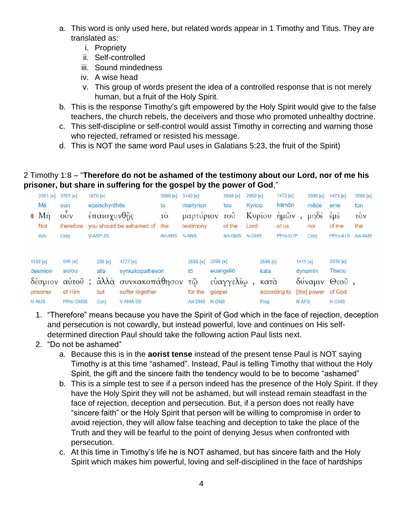- a. This word is only used here, but related words appear in 1 Timothy and Titus. They are translated as:
	- i. Propriety
	- ii. Self-controlled
	- iii. Sound mindedness
	- iv. A wise head
	- v. This group of words present the idea of a controlled response that is not merely human, but a fruit of the Holy Spirit.
- b. This is the response Timothy's gift empowered by the Holy Spirit would give to the false teachers, the church rebels, the deceivers and those who promoted unhealthy doctrine.
- c. This self-discipline or self-control would assist Timothy in correcting and warning those who rejected, reframed or resisted his message.
- d. This is NOT the same word Paul uses in Galatians 5:23, the fruit of the Spirit)

## 2 Timothy 1:8 – "**Therefore do not be ashamed of the testimony about our Lord, nor of me his prisoner, but share in suffering for the gospel by the power of God**,"

| 3361 [e]                                            | 3767 [e]                                           |             | 1870 [e]                       |                                                                                     | 3588 [e]       |           | 3142 [e]                                                 |                             | 3588 [e]               | 2962 [e]         |                                  | 1473 [e]                         |                     | 3366 [e]                          | 1473 [e]                                              | 3588 [e] |
|-----------------------------------------------------|----------------------------------------------------|-------------|--------------------------------|-------------------------------------------------------------------------------------|----------------|-----------|----------------------------------------------------------|-----------------------------|------------------------|------------------|----------------------------------|----------------------------------|---------------------|-----------------------------------|-------------------------------------------------------|----------|
| Mē                                                  | oun                                                |             | epaischynthes                  |                                                                                     | to             | martyrion |                                                          |                             | tou                    | Kyriou           |                                  | hēmōn                            |                     | mēde                              | eme                                                   | ton      |
| Mn<br>8                                             | OUV<br>therefore                                   | έπαισχυνθῆς |                                | <b>TO</b>                                                                           | μαρτυριον      |           | $\overline{\mathrm{TOU}}$                                | Kupiou                      |                        | ημ <sub>ων</sub> |                                  | $\mu \eta \delta \dot{\epsilon}$ | $E\mu E$            | τòν                               |                                                       |          |
| Not                                                 |                                                    |             |                                | you should be ashamed of                                                            | the            | testimony |                                                          |                             | of the                 | Lord             |                                  | of us                            |                     | nor                               | of me                                                 | the      |
| Adv                                                 | Conj                                               |             | V-ASP-2S                       |                                                                                     | <b>Art-ANS</b> |           | N-ANS                                                    |                             | Art-GMS                | N-GMS            |                                  | PPro-G1P                         |                     | Conj                              | PPro-A1S                                              | Art-AMS  |
| 1198 [e]<br>desmion<br>δέσμιον<br>prisoner<br>N-AMS | 846 [e]<br>autou<br>αὐτοῦ ;<br>of Him<br>PPro-GM3S |             | 235 [e]<br>alla<br>but<br>Coni | 4777 [e]<br>synkakopathēson<br>άλλά συνκακοπάθησον<br>suffer together<br>$V-AMA-2S$ |                |           | 3588 [e]<br>tō<br>$\tilde{\omega}$<br>for the<br>Art-DNS | 2098 [e]<br>gospel<br>N-DNS | euangeliō<br>εύαγγελίω |                  | 2596 [e]<br>kata<br>κατα<br>Prep | according to                     | $1411$ [e]<br>N-AFS | dynamin<br>δύναμιν<br>[the] power | 2316 [e]<br>Theou<br>$\Theta$ εοῦ,<br>of God<br>N-GMS |          |

- 1. "Therefore" means because you have the Spirit of God which in the face of rejection, deception and persecution is not cowardly, but instead powerful, love and continues on His selfdetermined direction Paul should take the following action Paul lists next.
- 2. "Do not be ashamed"
	- a. Because this is in the **aorist tense** instead of the present tense Paul is NOT saying Timothy is at this time "ashamed". Instead, Paul is telling Timothy that without the Holy Spirit, the gift and the sincere faith the tendency would to be to become "ashamed"
	- b. This is a simple test to see if a person indeed has the presence of the Holy Spirit. If they have the Holy Spirit they will not be ashamed, but will instead remain steadfast in the face of rejection, deception and persecution. But, if a person does not really have "sincere faith" or the Holy Spirit that person will be willing to compromise in order to avoid rejection, they will allow false teaching and deception to take the place of the Truth and they will be fearful to the point of denying Jesus when confronted with persecution.
	- c. At this time in Timothy's life he is NOT ashamed, but has sincere faith and the Holy Spirit which makes him powerful, loving and self-disciplined in the face of hardships